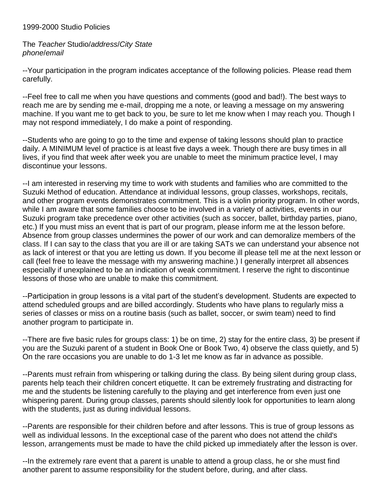## 1999-2000 Studio Policies

The *Teacher* Studio/*address*/*City State phone*/*email*

--Your participation in the program indicates acceptance of the following policies. Please read them carefully.

--Feel free to call me when you have questions and comments (good and bad!). The best ways to reach me are by sending me e-mail, dropping me a note, or leaving a message on my answering machine. If you want me to get back to you, be sure to let me know when I may reach you. Though I may not respond immediately, I do make a point of responding.

--Students who are going to go to the time and expense of taking lessons should plan to practice daily. A MINIMUM level of practice is at least five days a week. Though there are busy times in all lives, if you find that week after week you are unable to meet the minimum practice level, I may discontinue your lessons.

--I am interested in reserving my time to work with students and families who are committed to the Suzuki Method of education. Attendance at individual lessons, group classes, workshops, recitals, and other program events demonstrates commitment. This is a violin priority program. In other words, while I am aware that some families choose to be involved in a variety of activities, events in our Suzuki program take precedence over other activities (such as soccer, ballet, birthday parties, piano, etc.) If you must miss an event that is part of our program, please inform me at the lesson before. Absence from group classes undermines the power of our work and can demoralize members of the class. If I can say to the class that you are ill or are taking SATs we can understand your absence not as lack of interest or that you are letting us down. If you become ill please tell me at the next lesson or call (feel free to leave the message with my answering machine.) I generally interpret all absences especially if unexplained to be an indication of weak commitment. I reserve the right to discontinue lessons of those who are unable to make this commitment.

--Participation in group lessons is a vital part of the student's development. Students are expected to attend scheduled groups and are billed accordingly. Students who have plans to regularly miss a series of classes or miss on a routine basis (such as ballet, soccer, or swim team) need to find another program to participate in.

--There are five basic rules for groups class: 1) be on time, 2) stay for the entire class, 3) be present if you are the Suzuki parent of a student in Book One or Book Two, 4) observe the class quietly, and 5) On the rare occasions you are unable to do 1-3 let me know as far in advance as possible.

--Parents must refrain from whispering or talking during the class. By being silent during group class, parents help teach their children concert etiquette. It can be extremely frustrating and distracting for me and the students be listening carefully to the playing and get interference from even just one whispering parent. During group classes, parents should silently look for opportunities to learn along with the students, just as during individual lessons.

--Parents are responsible for their children before and after lessons. This is true of group lessons as well as individual lessons. In the exceptional case of the parent who does not attend the child's lesson, arrangements must be made to have the child picked up immediately after the lesson is over.

--In the extremely rare event that a parent is unable to attend a group class, he or she must find another parent to assume responsibility for the student before, during, and after class.